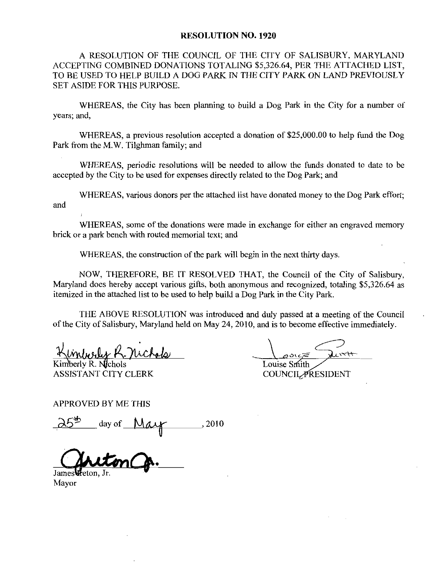## RESOLUTION NO. 1920

A RESOLUTION OF THE COUNCIL OF THE CITY OF SALISBURY, MARYLAND ACCEPTING COMBINED DONATIONS TOTALING \$5,326.64, PER THE ATTACHED LIST, TO BE USED TO HELP BUILD A DOG PARK fN THE CITY PARK ON LAND PREVIOUSLY SET ASIDE FOR THIS PURPOSE

WHEREAS, the City has been planning to build a Dog Park in the City for a number of years; and,

WHEREAS, a previous resolution accepted a donation of \$25,000,00 to help fund the Dog Park from the M.W. Tilghman family; and

WHEREAS, periodic resolutions will be needed to allow the funds donated to date to be accepted by the City to be used for expenses directly related to the Dog Park; and

WHEREAS, various donors per the attached list have donated money to the Dog Park effort; and

WHEREAS, some of the donations were made in exchange for either an engraved memory brick or a park bench with routed memorial text; and

WHEREAS, the construction of the park will begin in the next thirty days.

NOW, THEREFORE, BE IT RESOLVED THAT, the Council of the City of Salisbury, Maryland does hereby accept various gifts, both anonymous and recognized, totaling \$5,326.64 as itemized in the attached list to be used to help build a Dog Park in the City Park.

THE ABOVE RESOLUTION was introduced and duly passed at ameeting of the Council of the City of Salisbury, Maryland held on May 24, 2010, and is to become effective immediately.

Kimberly R.  $N$ chols ASSISTANT CITY CLERK

Louise Smith

**COUNCIL PRESIDENT** 

APPROVED BY ME THIS

 $\frac{1}{2}$  day of <u>May</u> 2010

James

Mayor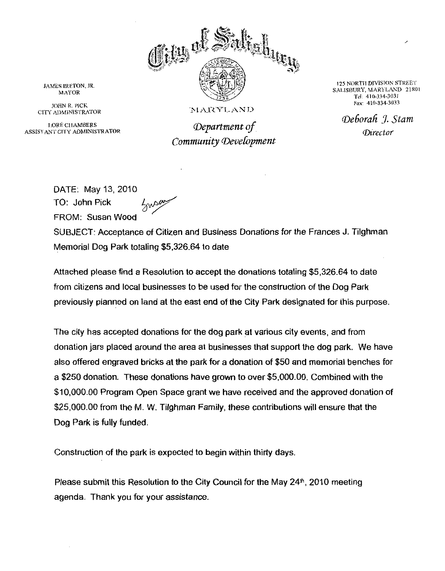

<sup>125</sup> NORTH DIVISION STREET 125 NORTH DIVISION STREET<br>SALISBURY, MARYLAND 2180<br>Tel: 410-334-3031

JAMES IRETON, JR.<br>MAYOR<br>JOHN R. PICK<br>CITY ADMINISTRATOR<br>LORÉ CHAMBERS<br>ISTANT CITY ADMINISTRAT I LORÉ CHAMBERS des department of ASSISTANT CITY ADMINISTRATOR

EXECUTE DIVISION SURY, MARYLANI<br>
Tel: 410-334-3031<br>
Fax: 410-334-3033<br>  $\epsilon$ **borah** J. S<br>
Director Deborah I. Stam

DATE: May 13, 2010 TO John FROM Susan Wood ay 13, 2010<br>Pick  $\frac{1}{2}$ <sub>y</sub> say

SUBJECT: Acceptance of Citizen and Business Donations for the Frances J. Tilghman 10: John Pick<br>FROM: Susan Wood<br>SUBJECT: Acceptance of Citizen and Busines<br>Memorial Dog Park totaling \$5,326.64 to date FROM: Susan Wood<br>SUBJECT: Acceptance of Citizen and Business Donations for the Frances J. Tilghm<br>Memorial Dog Park totaling \$5,326.64 to date<br>Attached please find a Resolution to accept the donations totaling \$5,326.64 to

from citizens and local businesses to be used for the construction of the Dog Park previously planned on land at the east end of the City Park designated for this purpose

The city has accepted donations for the dog park at various city events, and from donation jars placed around the area at businesses that support the dog park. We have also offered engraved bricks at the park for <sup>a</sup> donation of 50 and memorial benches for The city has accepted donations for the dog park at various city events, and from<br>donation jars placed around the area at businesses that support the dog park. We have<br>laso offered engraved bricks at the park for a donatio 1000000000000Program Open Space grant we have received and the approved donation of 310,000.00 Program Open Space grant we have received and the approved donation<br>\$25,000.00 from the M. W. Tilghman Family, these contributions will ensure that the Dog Park is fully funded

Construction of the park is expected to begin within thirty days

Please submit this Resolution to the City Council for the May  $24<sup>th</sup>$ , 2010 meeting agenda. Thank you for your assistance.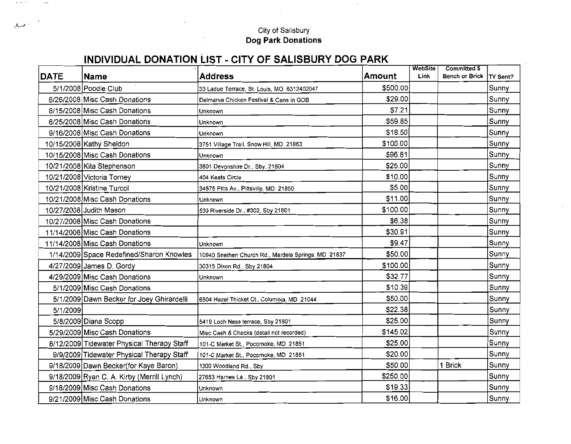## City of Salisbury<br>Dog Park Donations

 $\sim$ 

 $\sim$ 

## INDIVIDUAL DONATION LIST - CITY OF SALISBURY DOG PARK

 $\lambda_{\rm{max}}$  and  $\lambda_{\rm{max}}$  . The second state  $\lambda_{\rm{max}}$ 

 $\mathcal{A}_{\text{max}}(\mathcal{C})$ 

| <b>DATE</b> | <b>Name</b>                                | <b>Address</b>                                      | Amount    | WebSite<br>Link | Committed \$<br><b>Bench or Brick</b> | <b>TY Sent?</b> |
|-------------|--------------------------------------------|-----------------------------------------------------|-----------|-----------------|---------------------------------------|-----------------|
|             | 5/1/2008 Poodle Club                       | 33 Ladue Terrace, St. Louis, MO 6312402047          | \$500.00  |                 |                                       | Sunny           |
|             | 6/26/2008 Misc Cash Donations              | Delmarva Chicken Festival & Cans in GOB             | \$29.00   |                 |                                       | Sunny           |
|             | 8/15/2008 Misc Cash Donations              | Unknown                                             | \$7.21    |                 |                                       | Sunny           |
|             | 8/25/2008 Misc Cash Donations              | Unknown                                             | \$59.85   |                 |                                       | Sunny           |
|             | 9/16/2008 Misc Cash Donations              | Unknown                                             | \$18.50   |                 |                                       | Sunny           |
|             | 10/15/2008 Kathy Sheldon                   | 3751 Village Trail, Snow Hill, MD 21863             | \$100.00  |                 |                                       | Sunny           |
|             | 10/15/2008 Misc Cash Donations             | Unknown                                             | \$96.81   |                 |                                       | Sunny           |
|             | 10/21/2008 Kita Stephenson                 | 3801 Devonshire Dr., Sby, 21804                     | \$25.00   |                 |                                       | Sunny           |
|             | 10/21/2008 Victoria Torney                 | 404 Keats Circle                                    | \$10.00   |                 |                                       | Sunny           |
|             | 10/21/2008 Kristine Turcol                 | 34575 Pitts Av., Pittsville, MD 21850               | \$5.00    |                 |                                       | Sunny           |
|             | 10/21/2008 Misc Cash Donations             | Unknown                                             | \$11.00   |                 |                                       | Sunny           |
|             | 10/27/2008 Judith Mason                    | 530 Riverside Dr., #302, Sby 21801                  | \$100.00] |                 |                                       | Sunny           |
|             | 10/27/2008 Misc Cash Donations             |                                                     | \$6.38    |                 |                                       | Sunny           |
|             | 11/14/2008 Misc Cash Donations             |                                                     | \$30.91   |                 |                                       | Sunny           |
|             | 11/14/2008 Misc Cash Donations             | Unknown                                             | \$9.47    |                 |                                       | Sunny           |
|             | 1/14/2009 Space Redefined/Sharon Knowles   | 10940 Snethen Church Rd., Mardela Springs, MD 21837 | \$50.00   |                 |                                       | Sunny           |
|             | 4/27/2009 James D. Gordy                   | 30315 Dixon Rd., Sby 21804                          | \$100.00  |                 |                                       | Sunny           |
|             | 4/29/2009 Misc Cash Donations              | Unknown                                             | \$32.77   |                 |                                       | Sunny           |
|             | 5/1/2009 Misc Cash Donations               |                                                     | \$10.39   |                 |                                       | Sunny           |
|             | 5/1/2009 Dawn Becker for Joey Ghirardelli  | 6504 Hazel Thicket Ct., Columbia, MD 21044          | \$50.00   |                 |                                       | Sunny           |
| 5/1/2009    |                                            |                                                     | \$22.38   |                 |                                       | Sunny           |
|             | 5/8/2009 Diana Scopp                       | 5419 Loch Ness terrace, Sby 21801                   | \$25.00   |                 |                                       | Sunny           |
|             | 5/29/2009 Misc Cash Donations              | Misc Cash & Checks (detail not recorded)            | \$145.02  |                 |                                       | Sunny           |
|             | 8/12/2009 Tidewater Physical Therapy Staff | 101-C Market St., Pocomoke, MD 21851                | \$25.00   |                 |                                       | Sunny           |
|             | 9/9/2009 Tidewater Physical Therapy Staff  | 101-C Market St., Pocomoke, MD 21851                | \$20.00   |                 |                                       | Sunny           |
|             | 9/18/2009 Dawn Becker(for Kaye Baron)      | 1300 Woodland Rd., Sby                              | \$50.00   |                 | 1 Brick                               | Sunny           |
|             | 9/18/2009 Ryan C. A. Kirby (Merrill Lynch) | 27653 Harnes La., Sby 21801                         | \$250.00  |                 |                                       | Sunny           |
|             | 9/18/2009 Misc Cash Donations              | Unknown                                             | \$19.33]  |                 |                                       | Sunny           |
|             | 9/21/2009 Misc Cash Donations              | Unknown                                             | \$16.00   |                 |                                       | Sunny           |